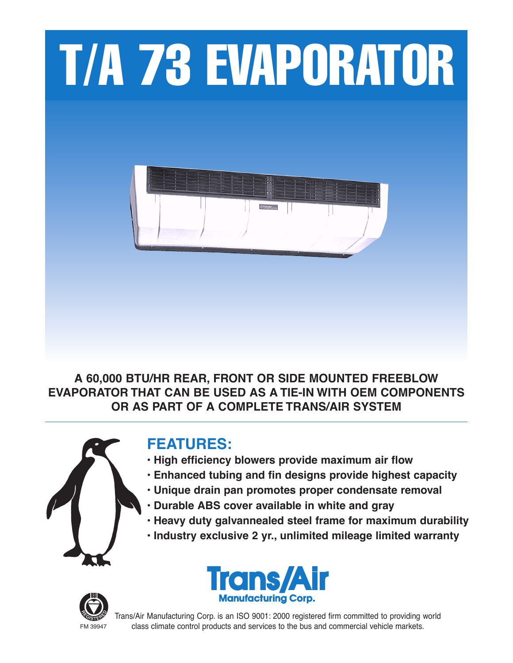

**A 60,000 BTU/HR REAR, FRONT OR SIDE MOUNTED FREEBLOW EVAPORATOR THAT CAN BE USED AS A TIE-IN WITH OEM COMPONENTS OR AS PART OF A COMPLETE TRANS/AIR SYSTEM**



# **FEATURES:**

- **• High efficiency blowers provide maximum air flow**
- **• Enhanced tubing and fin designs provide highest capacity**
- **• Unique drain pan promotes proper condensate removal**
- **• Durable ABS cover available in white and gray**
- **• Heavy duty galvannealed steel frame for maximum durability**
- **• Industry exclusive 2 yr., unlimited mileage limited warranty**





Trans/Air Manufacturing Corp. is an ISO 9001: 2000 registered firm committed to providing world FM 39947 class climate control products and services to the bus and commercial vehicle markets.